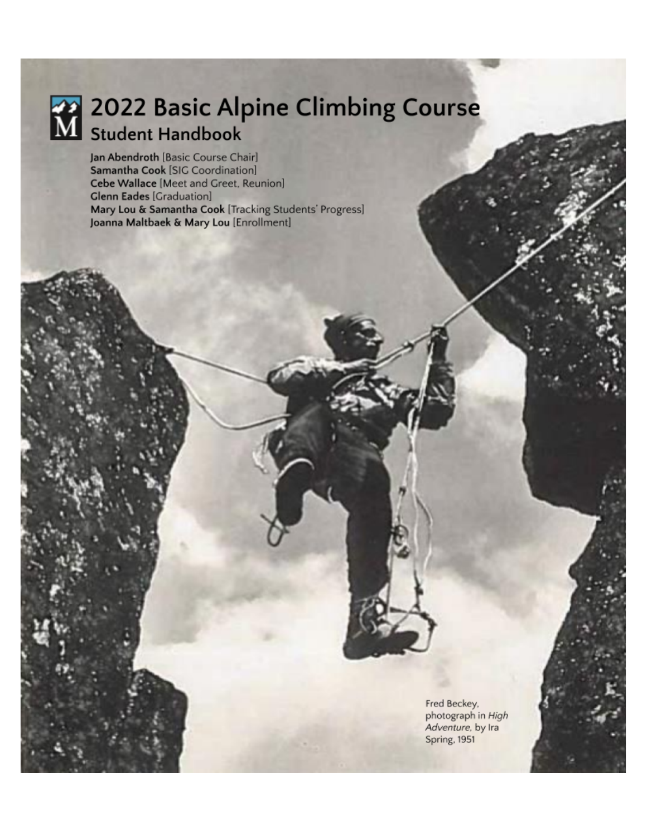

# 2022 Basic Alpine Climbing Course

Jan Abendroth [Basic Course Chair] Samantha Cook [SIG Coordination] Cebe Wallace [Meet and Greet, Reunion] **Glenn Eades [Graduation]** Mary Lou & Samantha Cook [Tracking Students' Progress] Joanna Maltbaek & Mary Lou [Enrollment]

> Fred Beckey, photograph in High Adventure, by Ira Spring, 1951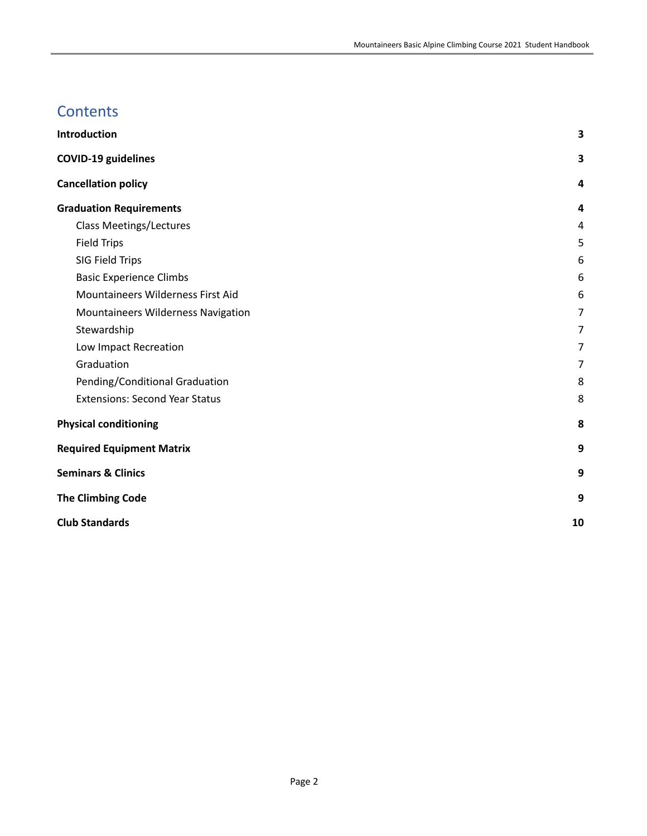# **Contents**

| Introduction                          | 3              |
|---------------------------------------|----------------|
| <b>COVID-19 guidelines</b>            | 3              |
| <b>Cancellation policy</b>            | 4              |
| <b>Graduation Requirements</b>        | 4              |
| <b>Class Meetings/Lectures</b>        | 4              |
| <b>Field Trips</b>                    | 5              |
| SIG Field Trips                       | 6              |
| <b>Basic Experience Climbs</b>        | 6              |
| Mountaineers Wilderness First Aid     | 6              |
| Mountaineers Wilderness Navigation    | $\overline{7}$ |
| Stewardship                           | $\overline{7}$ |
| Low Impact Recreation                 | 7              |
| Graduation                            | $\overline{7}$ |
| Pending/Conditional Graduation        | 8              |
| <b>Extensions: Second Year Status</b> | 8              |
| <b>Physical conditioning</b>          | 8              |
| <b>Required Equipment Matrix</b>      | 9              |
| <b>Seminars &amp; Clinics</b>         | 9              |
| <b>The Climbing Code</b>              | 9              |
| <b>Club Standards</b>                 | 10             |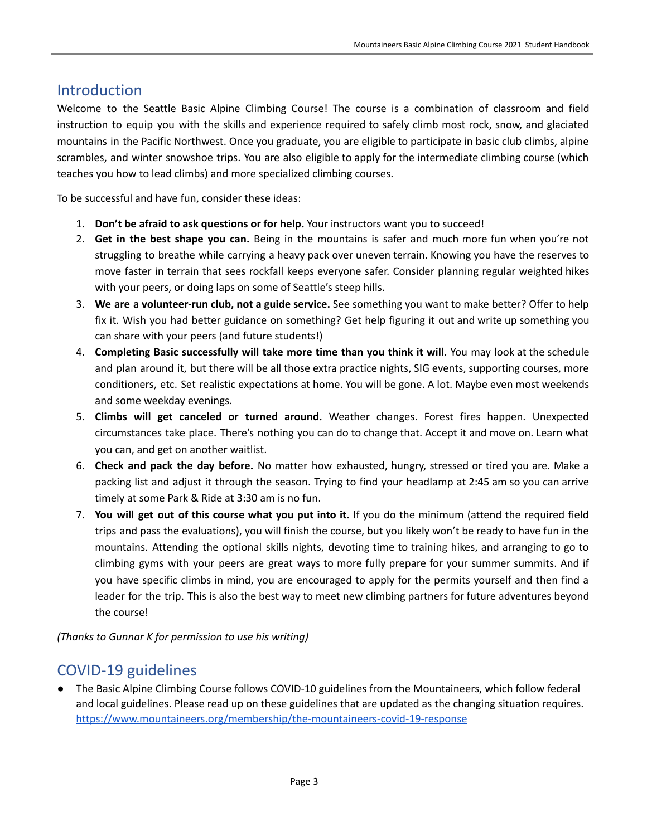## <span id="page-2-0"></span>Introduction

Welcome to the Seattle Basic Alpine Climbing Course! The course is a combination of classroom and field instruction to equip you with the skills and experience required to safely climb most rock, snow, and glaciated mountains in the Pacific Northwest. Once you graduate, you are eligible to participate in basic club climbs, alpine scrambles, and winter snowshoe trips. You are also eligible to apply for the intermediate climbing course (which teaches you how to lead climbs) and more specialized climbing courses.

To be successful and have fun, consider these ideas:

- 1. **Don't be afraid to ask questions or for help.** Your instructors want you to succeed!
- 2. **Get in the best shape you can.** Being in the mountains is safer and much more fun when you're not struggling to breathe while carrying a heavy pack over uneven terrain. Knowing you have the reserves to move faster in terrain that sees rockfall keeps everyone safer. Consider planning regular weighted hikes with your peers, or doing laps on some of Seattle's steep hills.
- 3. **We are a volunteer-run club, not a guide service.** See something you want to make better? Offer to help fix it. Wish you had better guidance on something? Get help figuring it out and write up something you can share with your peers (and future students!)
- 4. **Completing Basic successfully will take more time than you think it will.** You may look at the schedule and plan around it, but there will be all those extra practice nights, SIG events, supporting courses, more conditioners, etc. Set realistic expectations at home. You will be gone. A lot. Maybe even most weekends and some weekday evenings.
- 5. **Climbs will get canceled or turned around.** Weather changes. Forest fires happen. Unexpected circumstances take place. There's nothing you can do to change that. Accept it and move on. Learn what you can, and get on another waitlist.
- 6. **Check and pack the day before.** No matter how exhausted, hungry, stressed or tired you are. Make a packing list and adjust it through the season. Trying to find your headlamp at 2:45 am so you can arrive timely at some Park & Ride at 3:30 am is no fun.
- 7. **You will get out of this course what you put into it.** If you do the minimum (attend the required field trips and pass the evaluations), you will finish the course, but you likely won't be ready to have fun in the mountains. Attending the optional skills nights, devoting time to training hikes, and arranging to go to climbing gyms with your peers are great ways to more fully prepare for your summer summits. And if you have specific climbs in mind, you are encouraged to apply for the permits yourself and then find a leader for the trip. This is also the best way to meet new climbing partners for future adventures beyond the course!

*(Thanks to Gunnar K for permission to use his writing)*

## <span id="page-2-1"></span>COVID-19 guidelines

The Basic Alpine Climbing Course follows COVID-10 guidelines from the Mountaineers, which follow federal and local guidelines. Please read up on these guidelines that are updated as the changing situation requires. <https://www.mountaineers.org/membership/the-mountaineers-covid-19-response>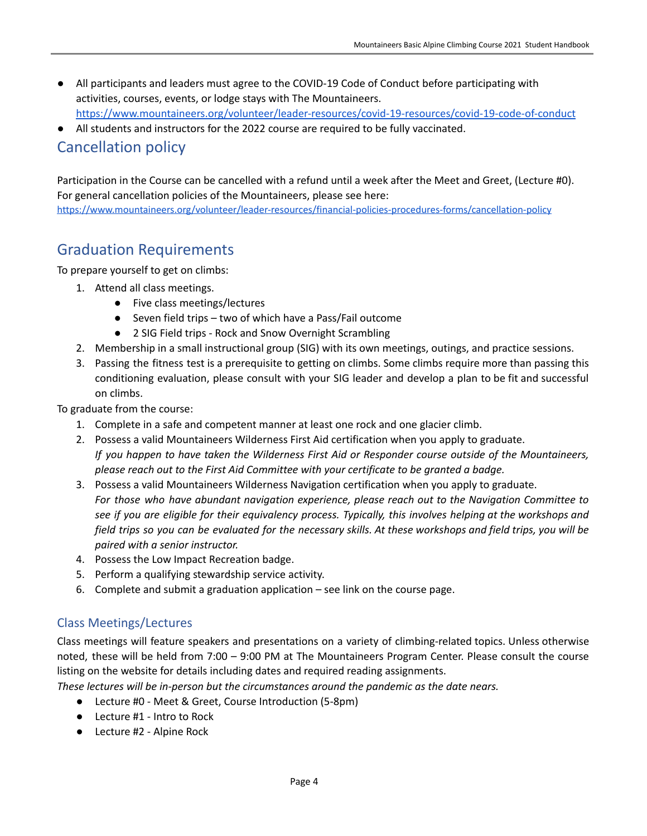- All participants and leaders must agree to the COVID-19 Code of Conduct before participating with activities, courses, events, or lodge stays with The Mountaineers. <https://www.mountaineers.org/volunteer/leader-resources/covid-19-resources/covid-19-code-of-conduct>
- All students and instructors for the 2022 course are required to be fully vaccinated.

## <span id="page-3-0"></span>Cancellation policy

Participation in the Course can be cancelled with a refund until a week after the Meet and Greet, (Lecture #0). For general cancellation policies of the Mountaineers, please see here: <https://www.mountaineers.org/volunteer/leader-resources/financial-policies-procedures-forms/cancellation-policy>

## <span id="page-3-1"></span>Graduation Requirements

To prepare yourself to get on climbs:

- 1. Attend all class meetings.
	- Five class meetings/lectures
	- Seven field trips two of which have a Pass/Fail outcome
	- 2 SIG Field trips Rock and Snow Overnight Scrambling
- 2. Membership in a small instructional group (SIG) with its own meetings, outings, and practice sessions.
- 3. Passing the fitness test is a prerequisite to getting on climbs. Some climbs require more than passing this conditioning evaluation, please consult with your SIG leader and develop a plan to be fit and successful on climbs.

To graduate from the course:

- 1. Complete in a safe and competent manner at least one rock and one glacier climb.
- 2. Possess a valid Mountaineers Wilderness First Aid certification when you apply to graduate. *If you happen to have taken the Wilderness First Aid or Responder course outside of the Mountaineers, please reach out to the First Aid Committee with your certificate to be granted a badge.*
- 3. Possess a valid Mountaineers Wilderness Navigation certification when you apply to graduate. *For those who have abundant navigation experience, please reach out to the Navigation Committee to* see if you are eligible for their equivalency process. Typically, this involves helping at the workshops and field trips so you can be evaluated for the necessary skills. At these workshops and field trips, you will be *paired with a senior instructor.*
- 4. Possess the Low Impact Recreation badge.
- 5. Perform a qualifying stewardship service activity.
- 6. Complete and submit a graduation application see link on the course page.

#### <span id="page-3-2"></span>Class Meetings/Lectures

Class meetings will feature speakers and presentations on a variety of climbing-related topics. Unless otherwise noted, these will be held from 7:00 – 9:00 PM at The Mountaineers Program Center. Please consult the course listing on the website for details including dates and required reading assignments.

*These lectures will be in-person but the circumstances around the pandemic as the date nears.*

- Lecture #0 Meet & Greet, Course Introduction (5-8pm)
- Lecture #1 Intro to Rock
- Lecture #2 Alpine Rock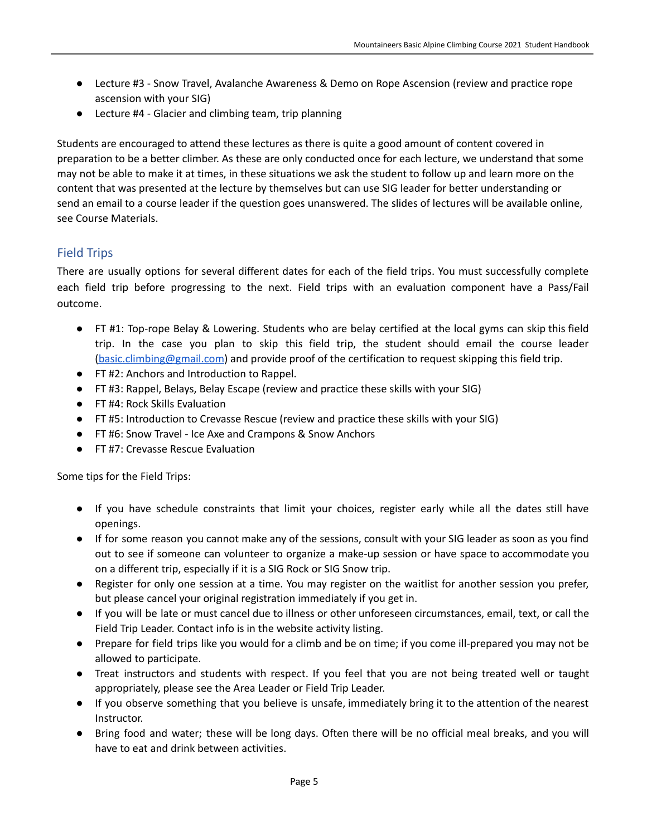- Lecture #3 Snow Travel, Avalanche Awareness & Demo on Rope Ascension (review and practice rope ascension with your SIG)
- Lecture #4 Glacier and climbing team, trip planning

Students are encouraged to attend these lectures as there is quite a good amount of content covered in preparation to be a better climber. As these are only conducted once for each lecture, we understand that some may not be able to make it at times, in these situations we ask the student to follow up and learn more on the content that was presented at the lecture by themselves but can use SIG leader for better understanding or send an email to a course leader if the question goes unanswered. The slides of lectures will be available online, see Course Materials.

#### <span id="page-4-0"></span>Field Trips

There are usually options for several different dates for each of the field trips. You must successfully complete each field trip before progressing to the next. Field trips with an evaluation component have a Pass/Fail outcome.

- FT #1: Top-rope Belay & Lowering. Students who are belay certified at the local gyms can skip this field trip. In the case you plan to skip this field trip, the student should email the course leader [\(basic.climbing@gmail.com](mailto:basic.climbing@gmail.com)) and provide proof of the certification to request skipping this field trip.
- FT #2: Anchors and Introduction to Rappel.
- FT #3: Rappel, Belays, Belay Escape (review and practice these skills with your SIG)
- FT #4: Rock Skills Evaluation
- FT #5: Introduction to Crevasse Rescue (review and practice these skills with your SIG)
- FT #6: Snow Travel Ice Axe and Crampons & Snow Anchors
- FT #7: Crevasse Rescue Evaluation

Some tips for the Field Trips:

- If you have schedule constraints that limit your choices, register early while all the dates still have openings.
- If for some reason you cannot make any of the sessions, consult with your SIG leader as soon as you find out to see if someone can volunteer to organize a make-up session or have space to accommodate you on a different trip, especially if it is a SIG Rock or SIG Snow trip.
- Register for only one session at a time. You may register on the waitlist for another session you prefer, but please cancel your original registration immediately if you get in.
- If you will be late or must cancel due to illness or other unforeseen circumstances, email, text, or call the Field Trip Leader. Contact info is in the website activity listing.
- Prepare for field trips like you would for a climb and be on time; if you come ill-prepared you may not be allowed to participate.
- Treat instructors and students with respect. If you feel that you are not being treated well or taught appropriately, please see the Area Leader or Field Trip Leader.
- If you observe something that you believe is unsafe, immediately bring it to the attention of the nearest Instructor.
- Bring food and water; these will be long days. Often there will be no official meal breaks, and you will have to eat and drink between activities.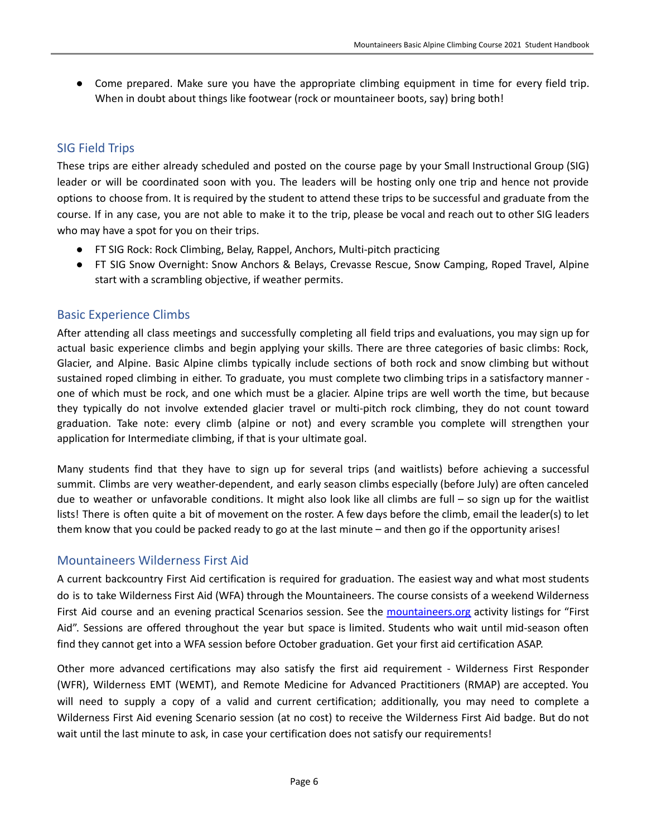● Come prepared. Make sure you have the appropriate climbing equipment in time for every field trip. When in doubt about things like footwear (rock or mountaineer boots, say) bring both!

#### <span id="page-5-0"></span>SIG Field Trips

These trips are either already scheduled and posted on the course page by your Small Instructional Group (SIG) leader or will be coordinated soon with you. The leaders will be hosting only one trip and hence not provide options to choose from. It is required by the student to attend these trips to be successful and graduate from the course. If in any case, you are not able to make it to the trip, please be vocal and reach out to other SIG leaders who may have a spot for you on their trips.

- FT SIG Rock: Rock Climbing, Belay, Rappel, Anchors, Multi-pitch practicing
- FT SIG Snow Overnight: Snow Anchors & Belays, Crevasse Rescue, Snow Camping, Roped Travel, Alpine start with a scrambling objective, if weather permits.

#### <span id="page-5-1"></span>Basic Experience Climbs

After attending all class meetings and successfully completing all field trips and evaluations, you may sign up for actual basic experience climbs and begin applying your skills. There are three categories of basic climbs: Rock, Glacier, and Alpine. Basic Alpine climbs typically include sections of both rock and snow climbing but without sustained roped climbing in either. To graduate, you must complete two climbing trips in a satisfactory manner one of which must be rock, and one which must be a glacier. Alpine trips are well worth the time, but because they typically do not involve extended glacier travel or multi-pitch rock climbing, they do not count toward graduation. Take note: every climb (alpine or not) and every scramble you complete will strengthen your application for Intermediate climbing, if that is your ultimate goal.

Many students find that they have to sign up for several trips (and waitlists) before achieving a successful summit. Climbs are very weather-dependent, and early season climbs especially (before July) are often canceled due to weather or unfavorable conditions. It might also look like all climbs are full – so sign up for the waitlist lists! There is often quite a bit of movement on the roster. A few days before the climb, email the leader(s) to let them know that you could be packed ready to go at the last minute – and then go if the opportunity arises!

#### <span id="page-5-2"></span>Mountaineers Wilderness First Aid

A current backcountry First Aid certification is required for graduation. The easiest way and what most students do is to take Wilderness First Aid (WFA) through the Mountaineers. The course consists of a weekend Wilderness First Aid course and an evening practical Scenarios session. See the mountaineers.org activity listings for "First Aid". Sessions are offered throughout the year but space is limited. Students who wait until mid-season often find they cannot get into a WFA session before October graduation. Get your first aid certification ASAP.

Other more advanced certifications may also satisfy the first aid requirement - Wilderness First Responder (WFR), Wilderness EMT (WEMT), and Remote Medicine for Advanced Practitioners (RMAP) are accepted. You will need to supply a copy of a valid and current certification; additionally, you may need to complete a Wilderness First Aid evening Scenario session (at no cost) to receive the Wilderness First Aid badge. But do not wait until the last minute to ask, in case your certification does not satisfy our requirements!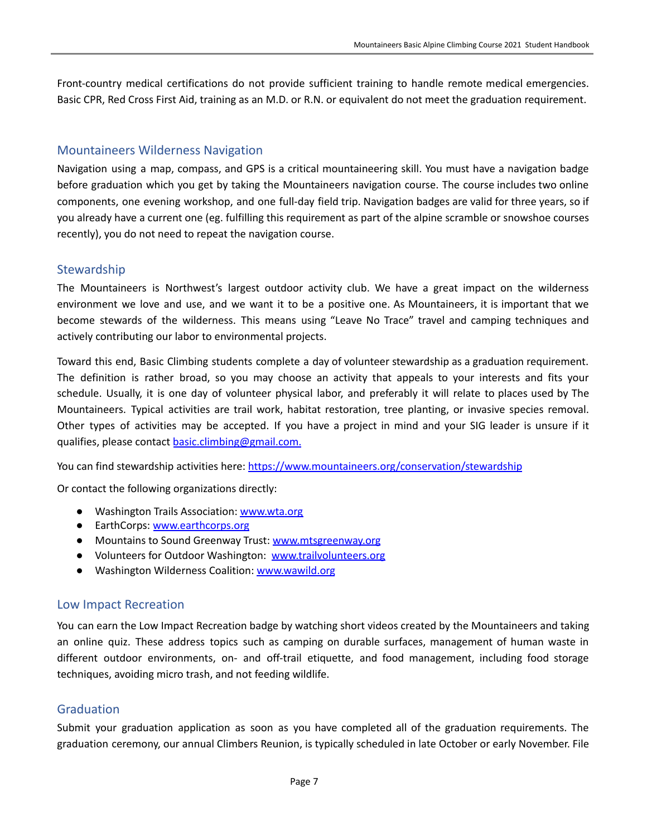Front-country medical certifications do not provide sufficient training to handle remote medical emergencies. Basic CPR, Red Cross First Aid, training as an M.D. or R.N. or equivalent do not meet the graduation requirement.

#### <span id="page-6-0"></span>Mountaineers Wilderness Navigation

Navigation using a map, compass, and GPS is a critical mountaineering skill. You must have a navigation badge before graduation which you get by taking the Mountaineers navigation course. The course includes two online components, one evening workshop, and one full-day field trip. Navigation badges are valid for three years, so if you already have a current one (eg. fulfilling this requirement as part of the alpine scramble or snowshoe courses recently), you do not need to repeat the navigation course.

#### <span id="page-6-1"></span>**Stewardship**

The Mountaineers is Northwest's largest outdoor activity club. We have a great impact on the wilderness environment we love and use, and we want it to be a positive one. As Mountaineers, it is important that we become stewards of the wilderness. This means using "Leave No Trace" travel and camping techniques and actively contributing our labor to environmental projects.

Toward this end, Basic Climbing students complete a day of volunteer stewardship as a graduation requirement. The definition is rather broad, so you may choose an activity that appeals to your interests and fits your schedule. Usually, it is one day of volunteer physical labor, and preferably it will relate to places used by The Mountaineers. Typical activities are trail work, habitat restoration, tree planting, or invasive species removal. Other types of activities may be accepted. If you have a project in mind and your SIG leader is unsure if it qualifies, please contact [basic.climbing@gmail.com.](mailto:basic.climbing@gmail.com)

You can find stewardship activities here: https:/[/www.mountaineers.org/conservation/stewardship](http://www.mountaineers.org/conservation/stewardship)

Or contact the following organizations directly:

- Washington Trails Association: [www.wta.org](http://www.wta.org/)
- EarthCorps: [www.earthcorps.org](http://www.earthcorps.org/)
- Mountains to Sound Greenway Trust: [www.mtsgreenway.org](http://www.mtsgreenway.org/)
- Volunteers for Outdoor Washington: [www.trailvolunteers.org](http://www.trailvolunteers.org/)
- Washington Wilderness Coalition: [www.wawild.org](http://www.wawild.org/)

#### <span id="page-6-2"></span>Low Impact Recreation

You can earn the Low Impact Recreation badge by watching short videos created by the Mountaineers and taking an online quiz. These address topics such as camping on durable surfaces, management of human waste in different outdoor environments, on- and off-trail etiquette, and food management, including food storage techniques, avoiding micro trash, and not feeding wildlife.

#### <span id="page-6-3"></span>Graduation

Submit your graduation application as soon as you have completed all of the graduation requirements. The graduation ceremony, our annual Climbers Reunion, is typically scheduled in late October or early November. File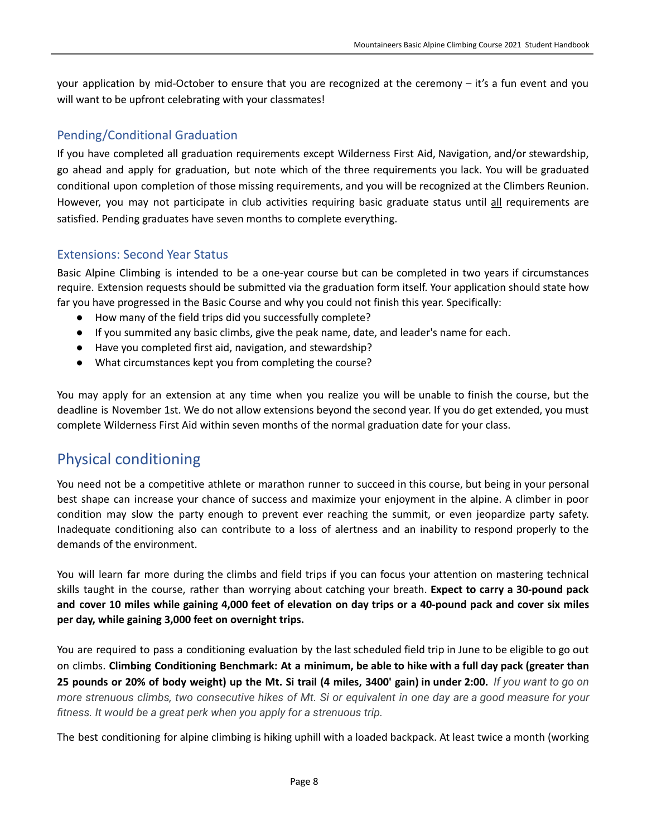your application by mid-October to ensure that you are recognized at the ceremony – it's a fun event and you will want to be upfront celebrating with your classmates!

#### <span id="page-7-0"></span>Pending/Conditional Graduation

If you have completed all graduation requirements except Wilderness First Aid, Navigation, and/or stewardship, go ahead and apply for graduation, but note which of the three requirements you lack. You will be graduated conditional upon completion of those missing requirements, and you will be recognized at the Climbers Reunion. However, you may not participate in club activities requiring basic graduate status until all requirements are satisfied. Pending graduates have seven months to complete everything.

#### <span id="page-7-1"></span>Extensions: Second Year Status

Basic Alpine Climbing is intended to be a one-year course but can be completed in two years if circumstances require. Extension requests should be submitted via the graduation form itself. Your application should state how far you have progressed in the Basic Course and why you could not finish this year. Specifically:

- How many of the field trips did you successfully complete?
- If you summited any basic climbs, give the peak name, date, and leader's name for each.
- Have you completed first aid, navigation, and stewardship?
- What circumstances kept you from completing the course?

You may apply for an extension at any time when you realize you will be unable to finish the course, but the deadline is November 1st. We do not allow extensions beyond the second year. If you do get extended, you must complete Wilderness First Aid within seven months of the normal graduation date for your class.

## <span id="page-7-2"></span>Physical conditioning

You need not be a competitive athlete or marathon runner to succeed in this course, but being in your personal best shape can increase your chance of success and maximize your enjoyment in the alpine. A climber in poor condition may slow the party enough to prevent ever reaching the summit, or even jeopardize party safety. Inadequate conditioning also can contribute to a loss of alertness and an inability to respond properly to the demands of the environment.

You will learn far more during the climbs and field trips if you can focus your attention on mastering technical skills taught in the course, rather than worrying about catching your breath. **Expect to carry a 30-pound pack** and cover 10 miles while gaining 4,000 feet of elevation on day trips or a 40-pound pack and cover six miles **per day, while gaining 3,000 feet on overnight trips.**

You are required to pass a conditioning evaluation by the last scheduled field trip in June to be eligible to go out on climbs. Climbing Conditioning Benchmark: At a minimum, be able to hike with a full day pack (greater than 25 pounds or 20% of body weight) up the Mt. Si trail (4 miles, 3400' gain) in under 2:00. If you want to go on more strenuous climbs, two consecutive hikes of Mt. Si or equivalent in one day are a good measure for your *fitness. It would be a great perk when you apply for a strenuous trip.*

The best conditioning for alpine climbing is hiking uphill with a loaded backpack. At least twice a month (working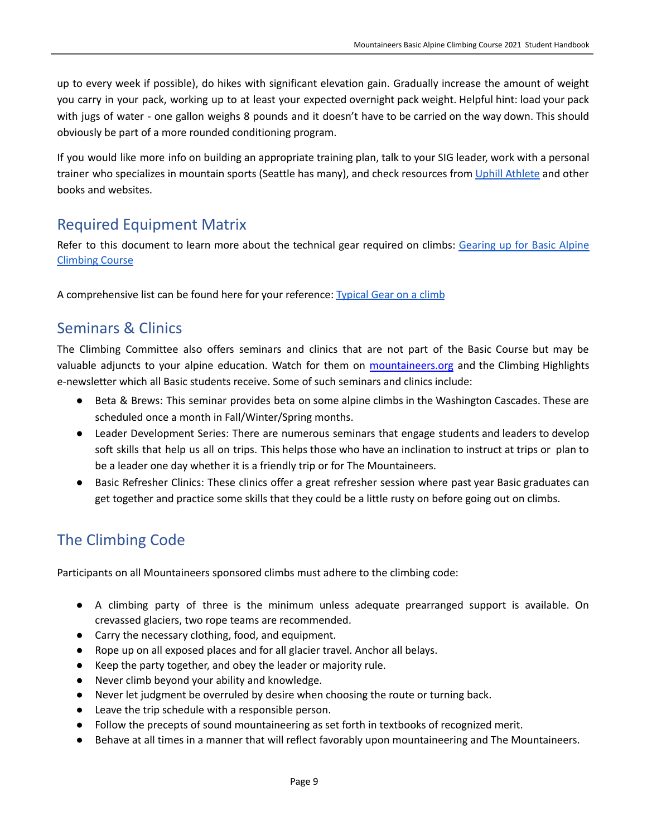up to every week if possible), do hikes with significant elevation gain. Gradually increase the amount of weight you carry in your pack, working up to at least your expected overnight pack weight. Helpful hint: load your pack with jugs of water - one gallon weighs 8 pounds and it doesn't have to be carried on the way down. This should obviously be part of a more rounded conditioning program.

If you would like more info on building an appropriate training plan, talk to your SIG leader, work with a personal trainer who specializes in mountain sports (Seattle has many), and check resources from Uphill [Athlete](https://uphillathlete.com/) and other books and websites.

## <span id="page-8-0"></span>Required Equipment Matrix

Refer to this document to learn more about the technical gear required on climbs: [Gearing](https://docs.google.com/document/d/1qyyknO4c85ehLIuBMIzsjiAyGviiRacagW3N32RiNbY/edit?usp=sharing) up for Basic Alpine [Climbing](https://docs.google.com/document/d/1qyyknO4c85ehLIuBMIzsjiAyGviiRacagW3N32RiNbY/edit?usp=sharing) Course

A comprehensive list can be found here for your reference: [Typical](https://docs.google.com/spreadsheets/d/17cpDNkm7YbaTqFIgB1IAAO8zSgzfiyISsVxZZsGZWnw/edit?usp=sharing) Gear on a climb

## <span id="page-8-1"></span>Seminars & Clinics

The Climbing Committee also offers seminars and clinics that are not part of the Basic Course but may be valuable adjuncts to your alpine education. Watch for them on mountaineers.org and the Climbing Highlights e-newsletter which all Basic students receive. Some of such seminars and clinics include:

- Beta & Brews: This seminar provides beta on some alpine climbs in the Washington Cascades. These are scheduled once a month in Fall/Winter/Spring months.
- Leader Development Series: There are numerous seminars that engage students and leaders to develop soft skills that help us all on trips. This helps those who have an inclination to instruct at trips or plan to be a leader one day whether it is a friendly trip or for The Mountaineers.
- Basic Refresher Clinics: These clinics offer a great refresher session where past year Basic graduates can get together and practice some skills that they could be a little rusty on before going out on climbs.

# <span id="page-8-2"></span>The Climbing Code

Participants on all Mountaineers sponsored climbs must adhere to the climbing code:

- A climbing party of three is the minimum unless adequate prearranged support is available. On crevassed glaciers, two rope teams are recommended.
- Carry the necessary clothing, food, and equipment.
- Rope up on all exposed places and for all glacier travel. Anchor all belays.
- Keep the party together, and obey the leader or majority rule.
- Never climb beyond your ability and knowledge.
- Never let judgment be overruled by desire when choosing the route or turning back.
- Leave the trip schedule with a responsible person.
- Follow the precepts of sound mountaineering as set forth in textbooks of recognized merit.
- Behave at all times in a manner that will reflect favorably upon mountaineering and The Mountaineers.